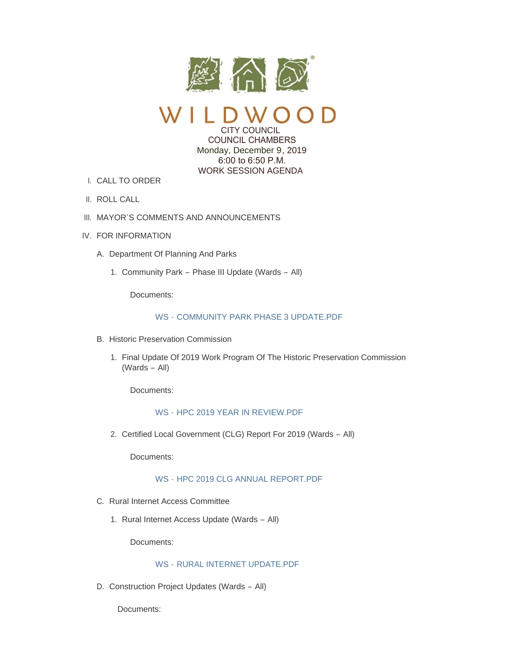

CITY COUNCIL

 COUNCIL CHAMBERS Monday, December 9, 2019 6:00 to 6:50 P.M. WORK SESSION AGENDA

- CALL TO ORDER I.
- II. ROLL CALL
- III. MAYOR'S COMMENTS AND ANNOUNCEMENTS
- IV. FOR INFORMATION
	- A. Department Of Planning And Parks
		- 1. Community Park Phase III Update (Wards All)

Documents:

## WS - [COMMUNITY PARK PHASE 3 UPDATE.PDF](https://www.cityofwildwood.com/AgendaCenter/ViewFile/Item/23306?fileID=28454)

- B. Historic Preservation Commission
	- 1. Final Update Of 2019 Work Program Of The Historic Preservation Commission (Wards – All)

Documents:

#### WS - [HPC 2019 YEAR IN REVIEW.PDF](https://www.cityofwildwood.com/AgendaCenter/ViewFile/Item/23302?fileID=28449)

2. Certified Local Government (CLG) Report For 2019 (Wards - All)

Documents:

### WS - [HPC 2019 CLG ANNUAL REPORT.PDF](https://www.cityofwildwood.com/AgendaCenter/ViewFile/Item/23303?fileID=28450)

- C. Rural Internet Access Committee
	- 1. Rural Internet Access Update (Wards All)

Documents:

# WS - [RURAL INTERNET UPDATE.PDF](https://www.cityofwildwood.com/AgendaCenter/ViewFile/Item/23305?fileID=28453)

D. Construction Project Updates (Wards - All)

Documents: